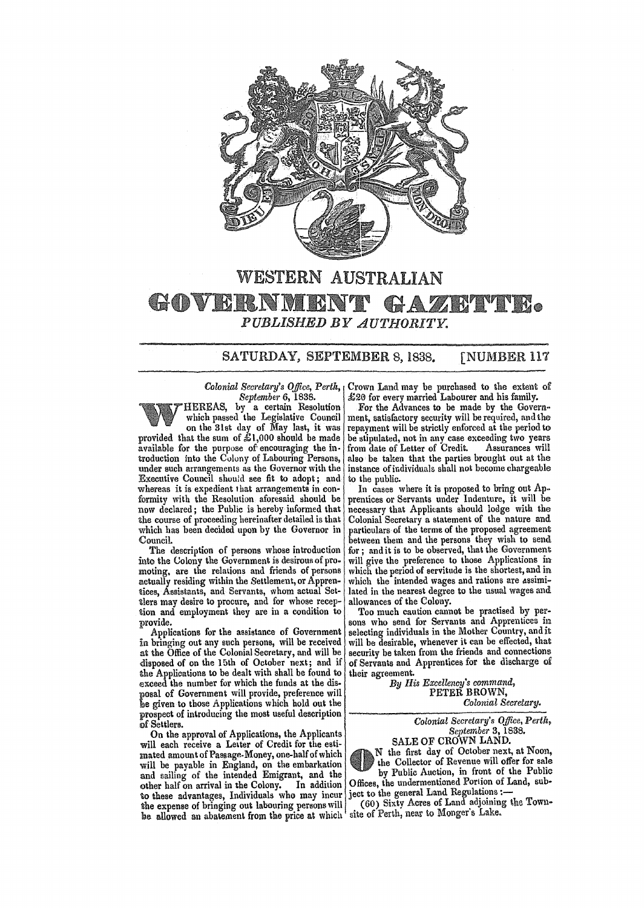

# WESTERN AUSTRALIAN GOVERNMENT  $G + A$ *PUBLISHED BY AUTHORITY.*

# SATURDAY, SEPTEMBER 8, 1838. [NUMBER 117

#### *Colonial Secretary's Office, Perth, September* 6, 1838.

HEREAS, by a certain Resolution which passed the Legislative Council on the 31st day of May last, it was provided that the sum of £1,000 should be made available for the purpose of' encouraging the in· troduction into the Colony of Labouring Persons, under such arrangements as the Governor with the Executive Council should see fit to adopt; and whereas it is expedient that arrangements in conformity with the Resolution aforesaid should be now declared; the Public is hereby informed that the course of proceeding hereinafter detailed is that which has been decided upon by the Governor in Council.

The description of persons whose introduction into the Colony the Government is desirous of promoting, are the relations and friends of persons actually residing within the Settlement, or Apprentices, Assistants, and Servants, whom actual Settlers may desire to procure, and for whose reception and employment they are in a condition to provide.

Applications for the assistance of Government in bringing out any such persons, will be received at the Office of the Colonial Secretarv, and will be disposed of on the 15th of October next; and if the Applications to be dealt with shall be found to exceed the number for which the funds at the disposal of Government will provide, preference will 'be given to those Applications which hold out the prospect of introducing the most useful description of Settlers.

On the approval of Applications, the Applicants will each receive a Letter of Credit for the estimated amount of Passage-Money, one-half of which will be payable in England, on the embarkation and sailing of the intended Emigrant, and the other half on arrival in the Colony. In addition to these advantages, Individuals who may incur the expense of bringing out labouring persons will be allowed an abatement from the price at which  $\frac{1}{s}$  site of Perth, near to Monger's Lake.

Crown Land may be purchased to the extent of  $\pounds 20$  for every married Labourer and his family.

For the Advances to be made by the Govern~ ment, satisfactory security will be required, and the repayment will be strictly enforced at the period to be stipulated, not in any case exceeding two years<br>from date of Letter of Credit. Assurances will from date of Letter of Credit. also be taken that the parties brought out at the instance of individuals shall not become chargeable to the public.

In cases where it is proposed to bring out Ap. prentices or Servants under Indenture, it will be necessary that Applicants should lodge with the Colonial Secretary a statement of the nature and particulars of the terms of the proposed agreement between them and the persons they wish to send for; and it is to be observed, that the Government will give the preference to those Applications in which the period of servitude is the shortest, and in which the intended wages and rations are assimilated in the nearest degree to the usual wages and allowances of the Colony.

Too much caution cannot be practised by persons who send for Servants and Apprentices in selecting individuals in the Mother Country, and it will be desirable, whenever it can be effected, that security be taken from the friends and connections of Servants and Apprentices for the discharge of their agreement.

*By llis Excellency's oommand,*  PETER BROWN, *Colonial Secretary.* 

> *Colonial Secretary's Office, Perth, September* 3, 1838.

SALE OF CROWN LAND. N the first day of October next, at Noon, the Collector of Revenue will offer for sale by Public Auction, in front of the Public Offices, the undermentioned Portion of Land, subject to the general Land Regulations :-

(60) Sixty Acres of Land adjoining ihe Town-